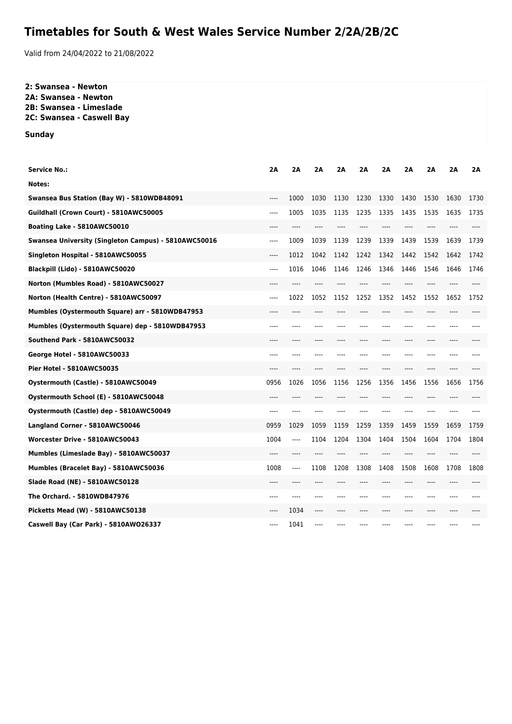## **Timetables for South & West Wales Service Number 2/2A/2B/2C**

Valid from 24/04/2022 to 21/08/2022

## **2: Swansea - Newton 2A: Swansea - Newton 2B: Swansea - Limeslade**

**2C: Swansea - Caswell Bay**

**Sunday**

| <b>Service No.:</b>                                  | 2A    | 2A    | 2A    | 2A   | 2Α    | 2A   | 2A    | 2A    | 2Α   | 2A   |
|------------------------------------------------------|-------|-------|-------|------|-------|------|-------|-------|------|------|
| Notes:                                               |       |       |       |      |       |      |       |       |      |      |
| Swansea Bus Station (Bay W) - 5810WDB48091           | $---$ | 1000  | 1030  | 1130 | 1230  | 1330 | 1430  | 1530  | 1630 | 1730 |
| Guildhall (Crown Court) - 5810AWC50005               | $---$ | 1005  | 1035  | 1135 | 1235  | 1335 | 1435  | 1535  | 1635 | 1735 |
| Boating Lake - 5810AWC50010                          | ----  |       | ----  |      |       |      | ----  |       |      |      |
| Swansea University (Singleton Campus) - 5810AWC50016 | $---$ | 1009  | 1039  | 1139 | 1239  | 1339 | 1439  | 1539  | 1639 | 1739 |
| Singleton Hospital - 5810AWC50055                    | $---$ | 1012  | 1042  | 1142 | 1242  | 1342 | 1442  | 1542  | 1642 | 1742 |
| Blackpill (Lido) - 5810AWC50020                      | $---$ | 1016  | 1046  | 1146 | 1246  | 1346 | 1446  | 1546  | 1646 | 1746 |
| Norton (Mumbles Road) - 5810AWC50027                 | $---$ |       |       |      |       |      |       |       |      |      |
| Norton (Health Centre) - 5810AWC50097                | $---$ | 1022  | 1052  | 1152 | 1252  | 1352 | 1452  | 1552  | 1652 | 1752 |
| Mumbles (Oystermouth Square) arr - 5810WDB47953      | ----  | ----  |       |      |       |      | ----  |       |      |      |
| Mumbles (Oystermouth Square) dep - 5810WDB47953      | ----  |       |       |      |       |      |       |       |      |      |
| Southend Park - 5810AWC50032                         | ----  | ----  | ----  | ---- | $---$ | ---- | ----  | $---$ | ---- |      |
| George Hotel - 5810AWC50033                          | ----  |       |       |      |       |      | ----  |       | ---- |      |
| <b>Pier Hotel - 5810AWC50035</b>                     | $---$ | $---$ | ----  | ---- | ----  | ---- | $---$ | ----  | ---- |      |
| Oystermouth (Castle) - 5810AWC50049                  | 0956  | 1026  | 1056  | 1156 | 1256  | 1356 | 1456  | 1556  | 1656 | 1756 |
| Oystermouth School (E) - 5810AWC50048                | ----  | ----  |       |      |       | ---- | ----  | ----  | ---- |      |
| Oystermouth (Castle) dep - 5810AWC50049              | ----  | ----  |       |      |       |      | ----  |       | ---- |      |
| Langland Corner - 5810AWC50046                       | 0959  | 1029  | 1059  | 1159 | 1259  | 1359 | 1459  | 1559  | 1659 | 1759 |
| Worcester Drive - 5810AWC50043                       | 1004  | ----  | 1104  | 1204 | 1304  | 1404 | 1504  | 1604  | 1704 | 1804 |
| Mumbles (Limeslade Bay) - 5810AWC50037               | ----  | $---$ | ----  |      |       | ---- | $---$ |       | ---- |      |
| Mumbles (Bracelet Bay) - 5810AWC50036                | 1008  | ----  | 1108  | 1208 | 1308  | 1408 | 1508  | 1608  | 1708 | 1808 |
| Slade Road (NE) - 5810AWC50128                       | $---$ | $---$ | ----  | ---- | ----  | ---- | $---$ | $---$ | ---- |      |
| The Orchard. - 5810WDB47976                          | ----  | ----  |       |      |       |      | ----  |       |      |      |
| Picketts Mead (W) - 5810AWC50138                     | ----  | 1034  | $---$ | ---- |       | ---- | ----  | ----  | ---- |      |
| Caswell Bay (Car Park) - 5810AWO26337                | ----  | 1041  |       |      |       |      |       |       |      |      |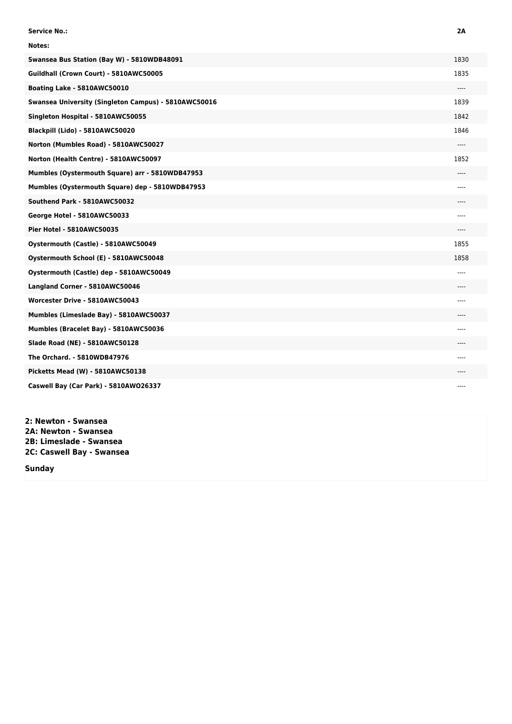| <b>Service No.:</b>                                  | 2A    |
|------------------------------------------------------|-------|
| Notes:                                               |       |
| Swansea Bus Station (Bay W) - 5810WDB48091           | 1830  |
| Guildhall (Crown Court) - 5810AWC50005               | 1835  |
| Boating Lake - 5810AWC50010                          | ----  |
| Swansea University (Singleton Campus) - 5810AWC50016 | 1839  |
| Singleton Hospital - 5810AWC50055                    | 1842  |
| Blackpill (Lido) - 5810AWC50020                      | 1846  |
| Norton (Mumbles Road) - 5810AWC50027                 | ----  |
| Norton (Health Centre) - 5810AWC50097                | 1852  |
| Mumbles (Oystermouth Square) arr - 5810WDB47953      | $---$ |
| Mumbles (Oystermouth Square) dep - 5810WDB47953      | ----  |
| Southend Park - 5810AWC50032                         |       |
| George Hotel - 5810AWC50033                          | ----  |
| <b>Pier Hotel - 5810AWC50035</b>                     | ----  |
| Oystermouth (Castle) - 5810AWC50049                  | 1855  |
| Oystermouth School (E) - 5810AWC50048                | 1858  |
| Oystermouth (Castle) dep - 5810AWC50049              | ----  |
| Langland Corner - 5810AWC50046                       | ----  |
| Worcester Drive - 5810AWC50043                       | ----  |
| Mumbles (Limeslade Bay) - 5810AWC50037               |       |
| Mumbles (Bracelet Bay) - 5810AWC50036                | ----  |
| Slade Road (NE) - 5810AWC50128                       |       |
| The Orchard. - 5810WDB47976                          | ----  |
| Picketts Mead (W) - 5810AWC50138                     | ----  |
| Caswell Bay (Car Park) - 5810AW026337                |       |

**2: Newton - Swansea 2A: Newton - Swansea 2B: Limeslade - Swansea 2C: Caswell Bay - Swansea**

**Sunday**